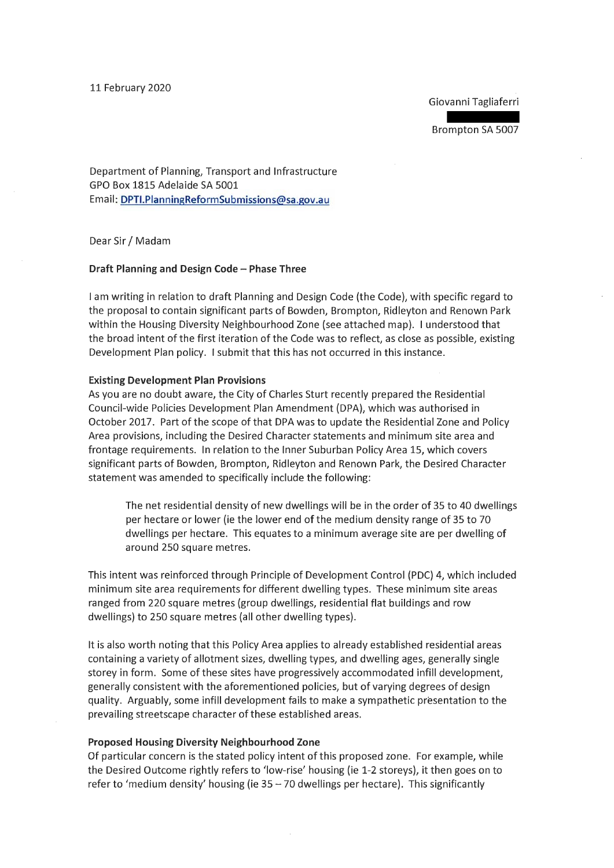### 11 February 2020

Giovanni Tagliaferri

Brompton SA 5007

Department of Planning, Transport and Infrastructure GPO Box 1815 Adelaide SA 5001 Email: DPTI.PlanningReformSubmissions@sa.gov.au

Dear Sir/ Madam

### **Draft Planning and Design Code- Phase Three**

I am writing in relation to draft Planning and Design Code (the Code), with specific regard to the proposal to contain significant parts of Bowden, Brompton, Ridleyton and Renown Park within the Housing Diversity Neighbourhood Zone (see attached map). I understood that the broad intent of the first iteration of the Code was to reflect, as close as possible, existing Development Plan policy. I submit that this has not occurred in this instance.

#### **Existing Development Plan Provisions**

As you are no doubt aware, the City of Charles Sturt recently prepared the Residential Council-wide Policies Development Plan Amendment (DPA), which was authorised in October 2017. Part of the scope of that DPA was to update the Residential Zone and Policy Area provisions, including the Desired Character statements and minimum site area and frontage requirements. In relation to the Inner Suburban Policy Area 15, which covers significant parts of Bowden, Brompton, Ridleyton and Renown Park, the Desired Character statement was amended to specifically include the following:

The net residential density of new dwellings will be in the order of 35 to 40 dwellings per hectare or lower (ie the lower end of the medium density range of 35 to 70 dwellings per hectare. This equates to a minimum average site are per dwelling of around 250 square metres.

This intent was reinforced through Principle of Development Control (PDC) 4, which included minimum site area requirements for different dwelling types. These minimum site areas ranged from 220 square metres (group dwellings, residential flat buildings and row dwellings) to 250 square metres (all other dwelling types).

It is also worth noting that this Policy Area applies to already established residential areas containing a variety of allotment sizes, dwelling types, and dwelling ages, generally single storey in form. Some of these sites have progressively accommodated infill development, generally consistent with the aforementioned policies, but of varying degrees of design quality. Arguably, some infill development fails to make a sympathetic presentation to the prevailing streetscape character of these established areas.

# **Proposed Housing Diversity Neighbourhood Zone**

Of particular concern is the stated policy intent of this proposed zone. For example, while the Desired Outcome rightly refers to 'low-rise' housing (ie 1-2 storeys), it then goes on to refer to 'medium density' housing (ie  $35 - 70$  dwellings per hectare). This significantly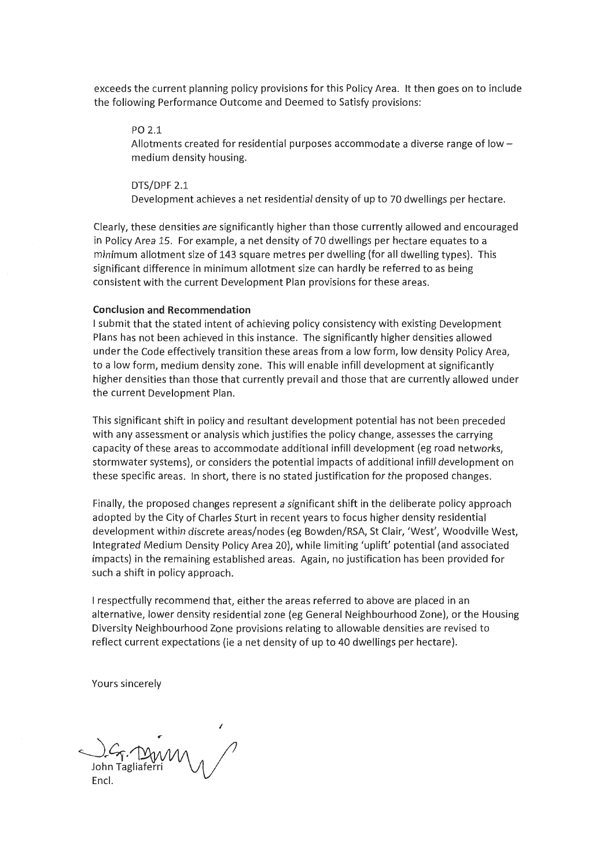exceeds the current planning policy provisions for this Policy Area. It then goes on to include the following Performance Outcome and Deemed to Satisfy provisions:

PO 2.1

Allotments created for residential purposes accommodate a diverse range of low  $$ medium density housing.

DTS/DPF 2.1 Development achieves a net residential density of up to 70 dwellings per hectare.

Clearly, these densities are significantly higher than those currently allowed and encouraged in Policy Area 15. For example, a net density of 70 dwellings per hectare equates to a minimum allotment size of 143 square metres per dwelling (for all dwelling types). This significant difference in minimum allotment size can hardly be referred to as being consistent with the current Development Plan provisions for these areas.

# **Conclusion and Recommendation**

I submit that the stated intent of achieving policy consistency with existing Development Plans has not been achieved in this instance. The significantly higher densities allowed under the Code effectively transition these areas from a low form, low density Policy Area, to a low form, medium density zone. This will enable infill development at significantly higher densities than those that currently prevail and those that are currently allowed under the current Development Plan.

This significant shift in policy and resultant development potential has not been preceded with any assessment or analysis which justifies the policy change, assesses the carrying capacity of these areas to accommodate additional infill development (eg road networks, stormwater systems), or considers the potential impacts of additional infill development on these specific areas. In short, there is no stated justification for the proposed changes.

Finally, the proposed changes represent a significant shift in the deliberate policy approach adopted by the City of Charles Sturt in recent years to focus higher density residential development within discrete areas/nodes (eg Bowden/RSA, St Clair, 'West', Woodville West, Integrated Medium Density Policy Area 20), while limiting 'uplift' potential (and associated impacts) in the remaining established areas. Again, no justification has been provided for such a shift in policy approach.

I respectfully recommend that, either the areas referred to above are placed in an alternative, lower density residential zone (eg General Neighbourhood Zone), or the Housing Diversity Neighbourhood Zone provisions relating to allowable densities are revised to reflect current expectations (ie a net density of up to 40 dwellings per hectare).

Yours sincerely

*I*   $C_{\mathcal{F}}$ . MWM John Tagliaferri M<sub>/</sub> **Encl.**